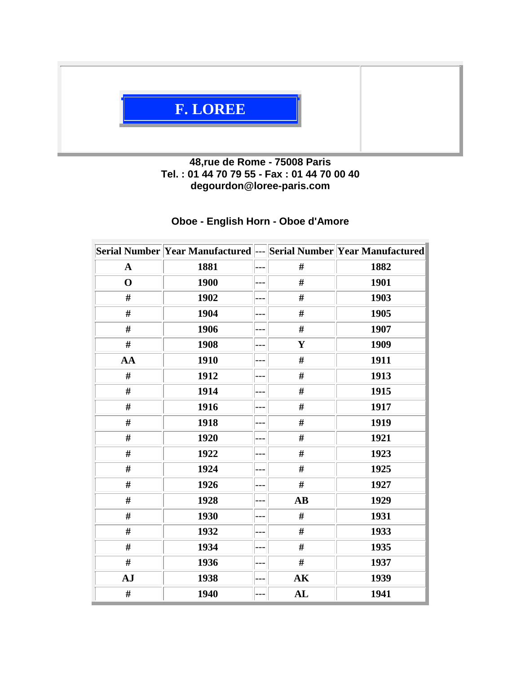

## **48,rue de Rome - 75008 Paris Tel. : 01 44 70 79 55 - Fax : 01 44 70 00 40 degourdon@loree-paris.com**

## **Oboe - English Horn - Oboe d'Amore**

|              | Serial Number Year Manufactured --- Serial Number Year Manufactured |       |                        |      |
|--------------|---------------------------------------------------------------------|-------|------------------------|------|
| $\mathbf{A}$ | 1881                                                                | ---   | #                      | 1882 |
| $\mathbf 0$  | 1900                                                                | $---$ | #                      | 1901 |
| #            | 1902                                                                | ---   | #                      | 1903 |
| #            | 1904                                                                | ---   | #                      | 1905 |
| #            | 1906                                                                | ---   | #                      | 1907 |
| #            | 1908                                                                | ---   | $\mathbf{Y}$           | 1909 |
| AA           | 1910                                                                | ---   | #                      | 1911 |
| #            | 1912                                                                | ---   | $\#$                   | 1913 |
| #            | 1914                                                                | ---   | #                      | 1915 |
| #            | 1916                                                                | ---   | #                      | 1917 |
| #            | 1918                                                                | ---   | #                      | 1919 |
| #            | 1920                                                                | ---   | #                      | 1921 |
| #            | 1922                                                                | ---   | #                      | 1923 |
| #            | 1924                                                                | ---   | $\#$                   | 1925 |
| #            | 1926                                                                | ---   | #                      | 1927 |
| #            | 1928                                                                | ---   | $\mathbf{A}\mathbf{B}$ | 1929 |
| #            | 1930                                                                | ---   | #                      | 1931 |
| #            | 1932                                                                | ---   | #                      | 1933 |
| #            | 1934                                                                | ---   | #                      | 1935 |
| #            | 1936                                                                | ---   | #                      | 1937 |
| AJ           | 1938                                                                | ---   | AK                     | 1939 |
| #            | 1940                                                                | ---   | AL                     | 1941 |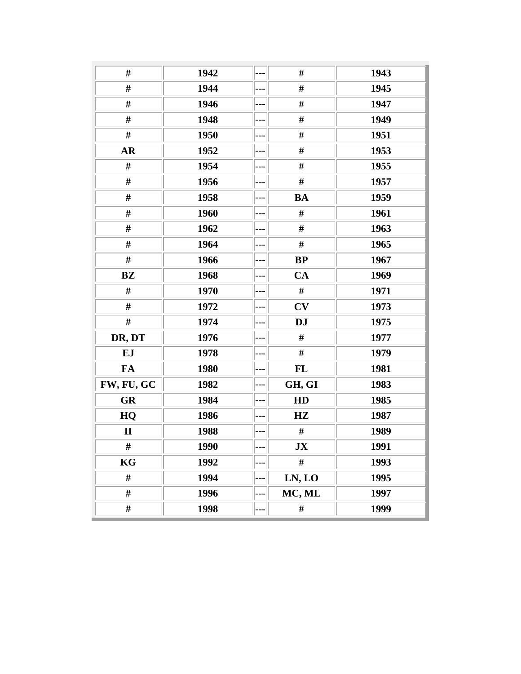| #            | 1942 | --- | #         | 1943 |
|--------------|------|-----|-----------|------|
| $\#$         | 1944 | --- | $\#$      | 1945 |
| $\#$         | 1946 | --- | $\#$      | 1947 |
| #            | 1948 | --- | $\#$      | 1949 |
| $\#$         | 1950 | --- | $\#$      | 1951 |
| <b>AR</b>    | 1952 |     | $\#$      | 1953 |
| #            | 1954 | --- | $\#$      | 1955 |
| $\#$         | 1956 | --- | #         | 1957 |
| $\#$         | 1958 | --- | <b>BA</b> | 1959 |
| #            | 1960 | --- | #         | 1961 |
| #            | 1962 | --- | #         | 1963 |
| #            | 1964 | --- | #         | 1965 |
| $\#$         | 1966 | --- | <b>BP</b> | 1967 |
| BZ           | 1968 |     | CA        | 1969 |
| #            | 1970 |     | $\#$      | 1971 |
| $\#$         | 1972 | --- | CV        | 1973 |
| #            | 1974 | --- | <b>DJ</b> | 1975 |
| DR, DT       | 1976 | --- | $\#$      | 1977 |
| EJ           | 1978 | --- | $\#$      | 1979 |
| <b>FA</b>    | 1980 | --- | FL        | 1981 |
| FW, FU, GC   | 1982 | --- | GH, GI    | 1983 |
| <b>GR</b>    | 1984 | --- | HD        | 1985 |
| HQ           | 1986 |     | HZ        | 1987 |
| $\mathbf{I}$ | 1988 | --- | #         | 1989 |
| #            | 1990 | --- | JX        | 1991 |
| KG           | 1992 |     | $\#$      | 1993 |
| #            | 1994 | --- | LN, LO    | 1995 |
| #            | 1996 |     | MC, ML    | 1997 |
| #            | 1998 | --- | #         | 1999 |
|              |      |     |           |      |